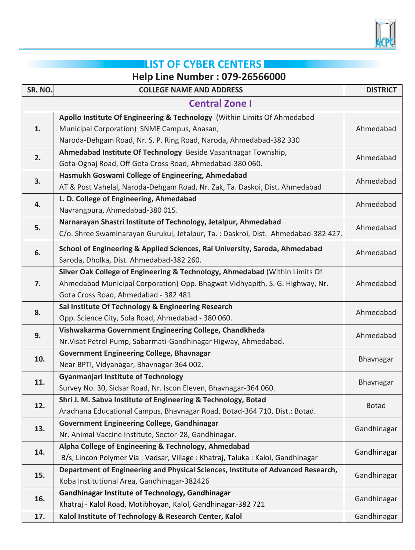

## **LIST OF CYBER CENTERS**

## **Help Line Number : 079-26566000**

| SR. NO.               | <b>COLLEGE NAME AND ADDRESS</b>                                                   | <b>DISTRICT</b> |
|-----------------------|-----------------------------------------------------------------------------------|-----------------|
| <b>Central Zone I</b> |                                                                                   |                 |
|                       | Apollo Institute Of Engineering & Technology (Within Limits Of Ahmedabad          |                 |
| 1.                    | Municipal Corporation) SNME Campus, Anasan,                                       | Ahmedabad       |
|                       | Naroda-Dehgam Road, Nr. S. P. Ring Road, Naroda, Ahmedabad-382 330                |                 |
| 2.                    | Ahmedabad Institute Of Technology Beside Vasantnagar Township,                    | Ahmedabad       |
|                       | Gota-Ognaj Road, Off Gota Cross Road, Ahmedabad-380 060.                          |                 |
| 3.                    | Hasmukh Goswami College of Engineering, Ahmedabad                                 | Ahmedabad       |
|                       | AT & Post Vahelal, Naroda-Dehgam Road, Nr. Zak, Ta. Daskoi, Dist. Ahmedabad       |                 |
| 4.                    | L. D. College of Engineering, Ahmedabad                                           | Ahmedabad       |
|                       | Navrangpura, Ahmedabad-380 015.                                                   |                 |
| 5.                    | Narnarayan Shastri Institute of Technology, Jetalpur, Ahmedabad                   | Ahmedabad       |
|                       | C/o. Shree Swaminarayan Gurukul, Jetalpur, Ta.: Daskroi, Dist. Ahmedabad-382 427. |                 |
| 6.                    | School of Engineering & Applied Sciences, Rai University, Saroda, Ahmedabad       | Ahmedabad       |
|                       | Saroda, Dholka, Dist. Ahmedabad-382 260.                                          |                 |
|                       | Silver Oak College of Engineering & Technology, Ahmedabad (Within Limits Of       |                 |
| 7.                    | Ahmedabad Municipal Corporation) Opp. Bhagwat Vidhyapith, S. G. Highway, Nr.      | Ahmedabad       |
|                       | Gota Cross Road, Ahmedabad - 382 481.                                             |                 |
| 8.                    | Sal Institute Of Technology & Engineering Research                                | Ahmedabad       |
|                       | Opp. Science City, Sola Road, Ahmedabad - 380 060.                                |                 |
| 9.                    | Vishwakarma Government Engineering College, Chandkheda                            | Ahmedabad       |
|                       | Nr. Visat Petrol Pump, Sabarmati-Gandhinagar Higway, Ahmedabad.                   |                 |
| 10.                   | <b>Government Engineering College, Bhavnagar</b>                                  | Bhavnagar       |
|                       | Near BPTI, Vidyanagar, Bhavnagar-364 002.                                         |                 |
| 11.                   | <b>Gyanmanjari Institute of Technology</b>                                        | Bhavnagar       |
|                       | Survey No. 30, Sidsar Road, Nr. Iscon Eleven, Bhavnagar-364 060.                  |                 |
| 12.                   | Shri J. M. Sabva Institute of Engineering & Technology, Botad                     | <b>Botad</b>    |
|                       | Aradhana Educational Campus, Bhavnagar Road, Botad-364 710, Dist.: Botad.         |                 |
| 13.                   | Government Engineering College, Gandhinagar                                       | Gandhinagar     |
|                       | Nr. Animal Vaccine Institute, Sector-28, Gandhinagar.                             |                 |
| 14.                   | Alpha College of Engineering & Technology, Ahmedabad                              | Gandhinagar     |
|                       | B/s, Lincon Polymer Via: Vadsar, Village: Khatraj, Taluka: Kalol, Gandhinagar     |                 |
| 15.                   | Department of Engineering and Physical Sciences, Institute of Advanced Research,  | Gandhinagar     |
|                       | Koba Institutional Area, Gandhinagar-382426                                       |                 |
| 16.                   | Gandhinagar Institute of Technology, Gandhinagar                                  | Gandhinagar     |
|                       | Khatraj - Kalol Road, Motibhoyan, Kalol, Gandhinagar-382 721                      |                 |
| 17.                   | Kalol Institute of Technology & Research Center, Kalol                            | Gandhinagar     |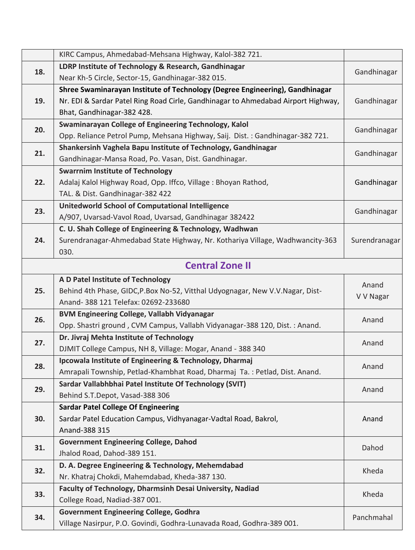| LDRP Institute of Technology & Research, Gandhinagar<br>18.<br>Gandhinagar<br>Near Kh-5 Circle, Sector-15, Gandhinagar-382 015.<br>Shree Swaminarayan Institute of Technology (Degree Engineering), Gandhinagar<br>19.<br>Nr. EDI & Sardar Patel Ring Road Cirle, Gandhinagar to Ahmedabad Airport Highway,<br>Gandhinagar<br>Bhat, Gandhinagar-382 428.<br>Swaminarayan College of Engineering Technology, Kalol<br>20.<br>Gandhinagar<br>Opp. Reliance Petrol Pump, Mehsana Highway, Saij. Dist.: Gandhinagar-382 721.<br>Shankersinh Vaghela Bapu Institute of Technology, Gandhinagar<br>21.<br>Gandhinagar<br>Gandhinagar-Mansa Road, Po. Vasan, Dist. Gandhinagar.<br><b>Swarrnim Institute of Technology</b><br>22.<br>Gandhinagar<br>Adalaj Kalol Highway Road, Opp. Iffco, Village: Bhoyan Rathod,<br>TAL. & Dist. Gandhinagar-382 422<br><b>Unitedworld School of Computational Intelligence</b><br>23.<br>Gandhinagar<br>A/907, Uvarsad-Vavol Road, Uvarsad, Gandhinagar 382422<br>C. U. Shah College of Engineering & Technology, Wadhwan<br>24.<br>Surendranagar-Ahmedabad State Highway, Nr. Kothariya Village, Wadhwancity-363<br>Surendranagar<br>030.<br><b>Central Zone II</b><br>A D Patel Institute of Technology<br>Anand<br>25.<br>Behind 4th Phase, GIDC, P.Box No-52, Vitthal Udyognagar, New V.V. Nagar, Dist-<br>V V Nagar<br>Anand- 388 121 Telefax: 02692-233680<br><b>BVM Engineering College, Vallabh Vidyanagar</b><br>26.<br>Anand<br>Opp. Shastri ground, CVM Campus, Vallabh Vidyanagar-388 120, Dist.: Anand.<br>Dr. Jivraj Mehta Institute of Technology<br>27.<br>Anand<br>DJMIT College Campus, NH 8, Village: Mogar, Anand - 388 340<br>Ipcowala Institute of Engineering & Technology, Dharmaj<br>28.<br>Anand<br>Amrapali Township, Petlad-Khambhat Road, Dharmaj Ta.: Petlad, Dist. Anand.<br>Sardar Vallabhbhai Patel Institute Of Technology (SVIT)<br>29.<br>Anand<br>Behind S.T.Depot, Vasad-388 306<br><b>Sardar Patel College Of Engineering</b><br>Sardar Patel Education Campus, Vidhyanagar-Vadtal Road, Bakrol,<br>Anand<br>30.<br>Anand-388 315<br><b>Government Engineering College, Dahod</b><br>31.<br>Dahod<br>Jhalod Road, Dahod-389 151.<br>D. A. Degree Engineering & Technology, Mehemdabad<br>32.<br>Kheda<br>Nr. Khatraj Chokdi, Mahemdabad, Kheda-387 130.<br>Faculty of Technology, Dharmsinh Desai University, Nadiad<br>33.<br>Kheda<br>College Road, Nadiad-387 001.<br><b>Government Engineering College, Godhra</b><br>34.<br>Panchmahal<br>Village Nasirpur, P.O. Govindi, Godhra-Lunavada Road, Godhra-389 001. |  | KIRC Campus, Ahmedabad-Mehsana Highway, Kalol-382 721. |  |
|-----------------------------------------------------------------------------------------------------------------------------------------------------------------------------------------------------------------------------------------------------------------------------------------------------------------------------------------------------------------------------------------------------------------------------------------------------------------------------------------------------------------------------------------------------------------------------------------------------------------------------------------------------------------------------------------------------------------------------------------------------------------------------------------------------------------------------------------------------------------------------------------------------------------------------------------------------------------------------------------------------------------------------------------------------------------------------------------------------------------------------------------------------------------------------------------------------------------------------------------------------------------------------------------------------------------------------------------------------------------------------------------------------------------------------------------------------------------------------------------------------------------------------------------------------------------------------------------------------------------------------------------------------------------------------------------------------------------------------------------------------------------------------------------------------------------------------------------------------------------------------------------------------------------------------------------------------------------------------------------------------------------------------------------------------------------------------------------------------------------------------------------------------------------------------------------------------------------------------------------------------------------------------------------------------------------------------------------------------------------------------------------------------------------------------------------------------------------------------------------------------------------------------------------------------------------------------------------|--|--------------------------------------------------------|--|
|                                                                                                                                                                                                                                                                                                                                                                                                                                                                                                                                                                                                                                                                                                                                                                                                                                                                                                                                                                                                                                                                                                                                                                                                                                                                                                                                                                                                                                                                                                                                                                                                                                                                                                                                                                                                                                                                                                                                                                                                                                                                                                                                                                                                                                                                                                                                                                                                                                                                                                                                                                                         |  |                                                        |  |
|                                                                                                                                                                                                                                                                                                                                                                                                                                                                                                                                                                                                                                                                                                                                                                                                                                                                                                                                                                                                                                                                                                                                                                                                                                                                                                                                                                                                                                                                                                                                                                                                                                                                                                                                                                                                                                                                                                                                                                                                                                                                                                                                                                                                                                                                                                                                                                                                                                                                                                                                                                                         |  |                                                        |  |
|                                                                                                                                                                                                                                                                                                                                                                                                                                                                                                                                                                                                                                                                                                                                                                                                                                                                                                                                                                                                                                                                                                                                                                                                                                                                                                                                                                                                                                                                                                                                                                                                                                                                                                                                                                                                                                                                                                                                                                                                                                                                                                                                                                                                                                                                                                                                                                                                                                                                                                                                                                                         |  |                                                        |  |
|                                                                                                                                                                                                                                                                                                                                                                                                                                                                                                                                                                                                                                                                                                                                                                                                                                                                                                                                                                                                                                                                                                                                                                                                                                                                                                                                                                                                                                                                                                                                                                                                                                                                                                                                                                                                                                                                                                                                                                                                                                                                                                                                                                                                                                                                                                                                                                                                                                                                                                                                                                                         |  |                                                        |  |
|                                                                                                                                                                                                                                                                                                                                                                                                                                                                                                                                                                                                                                                                                                                                                                                                                                                                                                                                                                                                                                                                                                                                                                                                                                                                                                                                                                                                                                                                                                                                                                                                                                                                                                                                                                                                                                                                                                                                                                                                                                                                                                                                                                                                                                                                                                                                                                                                                                                                                                                                                                                         |  |                                                        |  |
|                                                                                                                                                                                                                                                                                                                                                                                                                                                                                                                                                                                                                                                                                                                                                                                                                                                                                                                                                                                                                                                                                                                                                                                                                                                                                                                                                                                                                                                                                                                                                                                                                                                                                                                                                                                                                                                                                                                                                                                                                                                                                                                                                                                                                                                                                                                                                                                                                                                                                                                                                                                         |  |                                                        |  |
|                                                                                                                                                                                                                                                                                                                                                                                                                                                                                                                                                                                                                                                                                                                                                                                                                                                                                                                                                                                                                                                                                                                                                                                                                                                                                                                                                                                                                                                                                                                                                                                                                                                                                                                                                                                                                                                                                                                                                                                                                                                                                                                                                                                                                                                                                                                                                                                                                                                                                                                                                                                         |  |                                                        |  |
|                                                                                                                                                                                                                                                                                                                                                                                                                                                                                                                                                                                                                                                                                                                                                                                                                                                                                                                                                                                                                                                                                                                                                                                                                                                                                                                                                                                                                                                                                                                                                                                                                                                                                                                                                                                                                                                                                                                                                                                                                                                                                                                                                                                                                                                                                                                                                                                                                                                                                                                                                                                         |  |                                                        |  |
|                                                                                                                                                                                                                                                                                                                                                                                                                                                                                                                                                                                                                                                                                                                                                                                                                                                                                                                                                                                                                                                                                                                                                                                                                                                                                                                                                                                                                                                                                                                                                                                                                                                                                                                                                                                                                                                                                                                                                                                                                                                                                                                                                                                                                                                                                                                                                                                                                                                                                                                                                                                         |  |                                                        |  |
|                                                                                                                                                                                                                                                                                                                                                                                                                                                                                                                                                                                                                                                                                                                                                                                                                                                                                                                                                                                                                                                                                                                                                                                                                                                                                                                                                                                                                                                                                                                                                                                                                                                                                                                                                                                                                                                                                                                                                                                                                                                                                                                                                                                                                                                                                                                                                                                                                                                                                                                                                                                         |  |                                                        |  |
|                                                                                                                                                                                                                                                                                                                                                                                                                                                                                                                                                                                                                                                                                                                                                                                                                                                                                                                                                                                                                                                                                                                                                                                                                                                                                                                                                                                                                                                                                                                                                                                                                                                                                                                                                                                                                                                                                                                                                                                                                                                                                                                                                                                                                                                                                                                                                                                                                                                                                                                                                                                         |  |                                                        |  |
|                                                                                                                                                                                                                                                                                                                                                                                                                                                                                                                                                                                                                                                                                                                                                                                                                                                                                                                                                                                                                                                                                                                                                                                                                                                                                                                                                                                                                                                                                                                                                                                                                                                                                                                                                                                                                                                                                                                                                                                                                                                                                                                                                                                                                                                                                                                                                                                                                                                                                                                                                                                         |  |                                                        |  |
|                                                                                                                                                                                                                                                                                                                                                                                                                                                                                                                                                                                                                                                                                                                                                                                                                                                                                                                                                                                                                                                                                                                                                                                                                                                                                                                                                                                                                                                                                                                                                                                                                                                                                                                                                                                                                                                                                                                                                                                                                                                                                                                                                                                                                                                                                                                                                                                                                                                                                                                                                                                         |  |                                                        |  |
|                                                                                                                                                                                                                                                                                                                                                                                                                                                                                                                                                                                                                                                                                                                                                                                                                                                                                                                                                                                                                                                                                                                                                                                                                                                                                                                                                                                                                                                                                                                                                                                                                                                                                                                                                                                                                                                                                                                                                                                                                                                                                                                                                                                                                                                                                                                                                                                                                                                                                                                                                                                         |  |                                                        |  |
|                                                                                                                                                                                                                                                                                                                                                                                                                                                                                                                                                                                                                                                                                                                                                                                                                                                                                                                                                                                                                                                                                                                                                                                                                                                                                                                                                                                                                                                                                                                                                                                                                                                                                                                                                                                                                                                                                                                                                                                                                                                                                                                                                                                                                                                                                                                                                                                                                                                                                                                                                                                         |  |                                                        |  |
|                                                                                                                                                                                                                                                                                                                                                                                                                                                                                                                                                                                                                                                                                                                                                                                                                                                                                                                                                                                                                                                                                                                                                                                                                                                                                                                                                                                                                                                                                                                                                                                                                                                                                                                                                                                                                                                                                                                                                                                                                                                                                                                                                                                                                                                                                                                                                                                                                                                                                                                                                                                         |  |                                                        |  |
|                                                                                                                                                                                                                                                                                                                                                                                                                                                                                                                                                                                                                                                                                                                                                                                                                                                                                                                                                                                                                                                                                                                                                                                                                                                                                                                                                                                                                                                                                                                                                                                                                                                                                                                                                                                                                                                                                                                                                                                                                                                                                                                                                                                                                                                                                                                                                                                                                                                                                                                                                                                         |  |                                                        |  |
|                                                                                                                                                                                                                                                                                                                                                                                                                                                                                                                                                                                                                                                                                                                                                                                                                                                                                                                                                                                                                                                                                                                                                                                                                                                                                                                                                                                                                                                                                                                                                                                                                                                                                                                                                                                                                                                                                                                                                                                                                                                                                                                                                                                                                                                                                                                                                                                                                                                                                                                                                                                         |  |                                                        |  |
|                                                                                                                                                                                                                                                                                                                                                                                                                                                                                                                                                                                                                                                                                                                                                                                                                                                                                                                                                                                                                                                                                                                                                                                                                                                                                                                                                                                                                                                                                                                                                                                                                                                                                                                                                                                                                                                                                                                                                                                                                                                                                                                                                                                                                                                                                                                                                                                                                                                                                                                                                                                         |  |                                                        |  |
|                                                                                                                                                                                                                                                                                                                                                                                                                                                                                                                                                                                                                                                                                                                                                                                                                                                                                                                                                                                                                                                                                                                                                                                                                                                                                                                                                                                                                                                                                                                                                                                                                                                                                                                                                                                                                                                                                                                                                                                                                                                                                                                                                                                                                                                                                                                                                                                                                                                                                                                                                                                         |  |                                                        |  |
|                                                                                                                                                                                                                                                                                                                                                                                                                                                                                                                                                                                                                                                                                                                                                                                                                                                                                                                                                                                                                                                                                                                                                                                                                                                                                                                                                                                                                                                                                                                                                                                                                                                                                                                                                                                                                                                                                                                                                                                                                                                                                                                                                                                                                                                                                                                                                                                                                                                                                                                                                                                         |  |                                                        |  |
|                                                                                                                                                                                                                                                                                                                                                                                                                                                                                                                                                                                                                                                                                                                                                                                                                                                                                                                                                                                                                                                                                                                                                                                                                                                                                                                                                                                                                                                                                                                                                                                                                                                                                                                                                                                                                                                                                                                                                                                                                                                                                                                                                                                                                                                                                                                                                                                                                                                                                                                                                                                         |  |                                                        |  |
|                                                                                                                                                                                                                                                                                                                                                                                                                                                                                                                                                                                                                                                                                                                                                                                                                                                                                                                                                                                                                                                                                                                                                                                                                                                                                                                                                                                                                                                                                                                                                                                                                                                                                                                                                                                                                                                                                                                                                                                                                                                                                                                                                                                                                                                                                                                                                                                                                                                                                                                                                                                         |  |                                                        |  |
|                                                                                                                                                                                                                                                                                                                                                                                                                                                                                                                                                                                                                                                                                                                                                                                                                                                                                                                                                                                                                                                                                                                                                                                                                                                                                                                                                                                                                                                                                                                                                                                                                                                                                                                                                                                                                                                                                                                                                                                                                                                                                                                                                                                                                                                                                                                                                                                                                                                                                                                                                                                         |  |                                                        |  |
|                                                                                                                                                                                                                                                                                                                                                                                                                                                                                                                                                                                                                                                                                                                                                                                                                                                                                                                                                                                                                                                                                                                                                                                                                                                                                                                                                                                                                                                                                                                                                                                                                                                                                                                                                                                                                                                                                                                                                                                                                                                                                                                                                                                                                                                                                                                                                                                                                                                                                                                                                                                         |  |                                                        |  |
|                                                                                                                                                                                                                                                                                                                                                                                                                                                                                                                                                                                                                                                                                                                                                                                                                                                                                                                                                                                                                                                                                                                                                                                                                                                                                                                                                                                                                                                                                                                                                                                                                                                                                                                                                                                                                                                                                                                                                                                                                                                                                                                                                                                                                                                                                                                                                                                                                                                                                                                                                                                         |  |                                                        |  |
|                                                                                                                                                                                                                                                                                                                                                                                                                                                                                                                                                                                                                                                                                                                                                                                                                                                                                                                                                                                                                                                                                                                                                                                                                                                                                                                                                                                                                                                                                                                                                                                                                                                                                                                                                                                                                                                                                                                                                                                                                                                                                                                                                                                                                                                                                                                                                                                                                                                                                                                                                                                         |  |                                                        |  |
|                                                                                                                                                                                                                                                                                                                                                                                                                                                                                                                                                                                                                                                                                                                                                                                                                                                                                                                                                                                                                                                                                                                                                                                                                                                                                                                                                                                                                                                                                                                                                                                                                                                                                                                                                                                                                                                                                                                                                                                                                                                                                                                                                                                                                                                                                                                                                                                                                                                                                                                                                                                         |  |                                                        |  |
|                                                                                                                                                                                                                                                                                                                                                                                                                                                                                                                                                                                                                                                                                                                                                                                                                                                                                                                                                                                                                                                                                                                                                                                                                                                                                                                                                                                                                                                                                                                                                                                                                                                                                                                                                                                                                                                                                                                                                                                                                                                                                                                                                                                                                                                                                                                                                                                                                                                                                                                                                                                         |  |                                                        |  |
|                                                                                                                                                                                                                                                                                                                                                                                                                                                                                                                                                                                                                                                                                                                                                                                                                                                                                                                                                                                                                                                                                                                                                                                                                                                                                                                                                                                                                                                                                                                                                                                                                                                                                                                                                                                                                                                                                                                                                                                                                                                                                                                                                                                                                                                                                                                                                                                                                                                                                                                                                                                         |  |                                                        |  |
|                                                                                                                                                                                                                                                                                                                                                                                                                                                                                                                                                                                                                                                                                                                                                                                                                                                                                                                                                                                                                                                                                                                                                                                                                                                                                                                                                                                                                                                                                                                                                                                                                                                                                                                                                                                                                                                                                                                                                                                                                                                                                                                                                                                                                                                                                                                                                                                                                                                                                                                                                                                         |  |                                                        |  |
|                                                                                                                                                                                                                                                                                                                                                                                                                                                                                                                                                                                                                                                                                                                                                                                                                                                                                                                                                                                                                                                                                                                                                                                                                                                                                                                                                                                                                                                                                                                                                                                                                                                                                                                                                                                                                                                                                                                                                                                                                                                                                                                                                                                                                                                                                                                                                                                                                                                                                                                                                                                         |  |                                                        |  |
|                                                                                                                                                                                                                                                                                                                                                                                                                                                                                                                                                                                                                                                                                                                                                                                                                                                                                                                                                                                                                                                                                                                                                                                                                                                                                                                                                                                                                                                                                                                                                                                                                                                                                                                                                                                                                                                                                                                                                                                                                                                                                                                                                                                                                                                                                                                                                                                                                                                                                                                                                                                         |  |                                                        |  |
|                                                                                                                                                                                                                                                                                                                                                                                                                                                                                                                                                                                                                                                                                                                                                                                                                                                                                                                                                                                                                                                                                                                                                                                                                                                                                                                                                                                                                                                                                                                                                                                                                                                                                                                                                                                                                                                                                                                                                                                                                                                                                                                                                                                                                                                                                                                                                                                                                                                                                                                                                                                         |  |                                                        |  |
|                                                                                                                                                                                                                                                                                                                                                                                                                                                                                                                                                                                                                                                                                                                                                                                                                                                                                                                                                                                                                                                                                                                                                                                                                                                                                                                                                                                                                                                                                                                                                                                                                                                                                                                                                                                                                                                                                                                                                                                                                                                                                                                                                                                                                                                                                                                                                                                                                                                                                                                                                                                         |  |                                                        |  |
|                                                                                                                                                                                                                                                                                                                                                                                                                                                                                                                                                                                                                                                                                                                                                                                                                                                                                                                                                                                                                                                                                                                                                                                                                                                                                                                                                                                                                                                                                                                                                                                                                                                                                                                                                                                                                                                                                                                                                                                                                                                                                                                                                                                                                                                                                                                                                                                                                                                                                                                                                                                         |  |                                                        |  |
|                                                                                                                                                                                                                                                                                                                                                                                                                                                                                                                                                                                                                                                                                                                                                                                                                                                                                                                                                                                                                                                                                                                                                                                                                                                                                                                                                                                                                                                                                                                                                                                                                                                                                                                                                                                                                                                                                                                                                                                                                                                                                                                                                                                                                                                                                                                                                                                                                                                                                                                                                                                         |  |                                                        |  |
|                                                                                                                                                                                                                                                                                                                                                                                                                                                                                                                                                                                                                                                                                                                                                                                                                                                                                                                                                                                                                                                                                                                                                                                                                                                                                                                                                                                                                                                                                                                                                                                                                                                                                                                                                                                                                                                                                                                                                                                                                                                                                                                                                                                                                                                                                                                                                                                                                                                                                                                                                                                         |  |                                                        |  |
|                                                                                                                                                                                                                                                                                                                                                                                                                                                                                                                                                                                                                                                                                                                                                                                                                                                                                                                                                                                                                                                                                                                                                                                                                                                                                                                                                                                                                                                                                                                                                                                                                                                                                                                                                                                                                                                                                                                                                                                                                                                                                                                                                                                                                                                                                                                                                                                                                                                                                                                                                                                         |  |                                                        |  |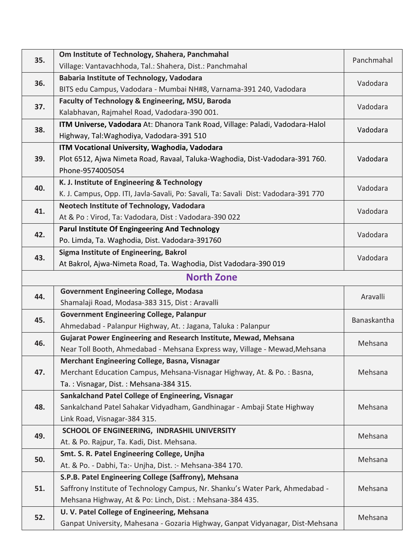| 35. | Om Institute of Technology, Shahera, Panchmahal                                     | Panchmahal  |
|-----|-------------------------------------------------------------------------------------|-------------|
|     | Village: Vantavachhoda, Tal.: Shahera, Dist.: Panchmahal                            |             |
| 36. | <b>Babaria Institute of Technology, Vadodara</b>                                    | Vadodara    |
|     | BITS edu Campus, Vadodara - Mumbai NH#8, Varnama-391 240, Vadodara                  |             |
| 37. | Faculty of Technology & Engineering, MSU, Baroda                                    | Vadodara    |
|     | Kalabhavan, Rajmahel Road, Vadodara-390 001.                                        |             |
| 38. | ITM Universe, Vadodara At: Dhanora Tank Road, Village: Paladi, Vadodara-Halol       | Vadodara    |
|     | Highway, Tal: Waghodiya, Vadodara-391 510                                           |             |
|     | ITM Vocational University, Waghodia, Vadodara                                       |             |
| 39. | Plot 6512, Ajwa Nimeta Road, Ravaal, Taluka-Waghodia, Dist-Vadodara-391 760.        | Vadodara    |
|     | Phone-9574005054                                                                    |             |
| 40. | K. J. Institute of Engineering & Technology                                         | Vadodara    |
|     | K. J. Campus, Opp. ITI, Javla-Savali, Po: Savali, Ta: Savali Dist: Vadodara-391 770 |             |
| 41. | Neotech Institute of Technology, Vadodara                                           | Vadodara    |
|     | At & Po: Virod, Ta: Vadodara, Dist: Vadodara-390 022                                |             |
| 42. | <b>Parul Institute Of Engingeering And Technology</b>                               | Vadodara    |
|     | Po. Limda, Ta. Waghodia, Dist. Vadodara-391760                                      |             |
| 43. | Sigma Institute of Engineering, Bakrol                                              | Vadodara    |
|     | At Bakrol, Ajwa-Nimeta Road, Ta. Waghodia, Dist Vadodara-390 019                    |             |
|     | <b>North Zone</b>                                                                   |             |
| 44. | <b>Government Engineering College, Modasa</b>                                       |             |
|     |                                                                                     |             |
|     | Shamalaji Road, Modasa-383 315, Dist: Aravalli                                      | Aravalli    |
|     | <b>Government Engineering College, Palanpur</b>                                     |             |
| 45. | Ahmedabad - Palanpur Highway, At.: Jagana, Taluka: Palanpur                         | Banaskantha |
|     | Gujarat Power Engineering and Research Institute, Mewad, Mehsana                    |             |
| 46. | Near Toll Booth, Ahmedabad - Mehsana Express way, Village - Mewad, Mehsana          | Mehsana     |
|     | Merchant Engineering College, Basna, Visnagar                                       |             |
| 47. | Merchant Education Campus, Mehsana-Visnagar Highway, At. & Po.: Basna,              | Mehsana     |
|     | Ta.: Visnagar, Dist.: Mehsana-384 315.                                              |             |
|     | Sankalchand Patel College of Engineering, Visnagar                                  |             |
| 48. | Sankalchand Patel Sahakar Vidyadham, Gandhinagar - Ambaji State Highway             | Mehsana     |
|     | Link Road, Visnagar-384 315.                                                        |             |
|     | SCHOOL OF ENGINEERING, INDRASHIL UNIVERSITY                                         |             |
| 49. | At. & Po. Rajpur, Ta. Kadi, Dist. Mehsana.                                          | Mehsana     |
|     | Smt. S. R. Patel Engineering College, Unjha                                         |             |
| 50. | At. & Po. - Dabhi, Ta: - Unjha, Dist. : - Mehsana-384 170.                          | Mehsana     |
|     | S.P.B. Patel Engineering College (Saffrony), Mehsana                                |             |
| 51. | Saffrony Institute of Technology Campus, Nr. Shanku's Water Park, Ahmedabad -       | Mehsana     |
|     | Mehsana Highway, At & Po: Linch, Dist. : Mehsana-384 435.                           |             |
| 52. | U. V. Patel College of Engineering, Mehsana                                         | Mehsana     |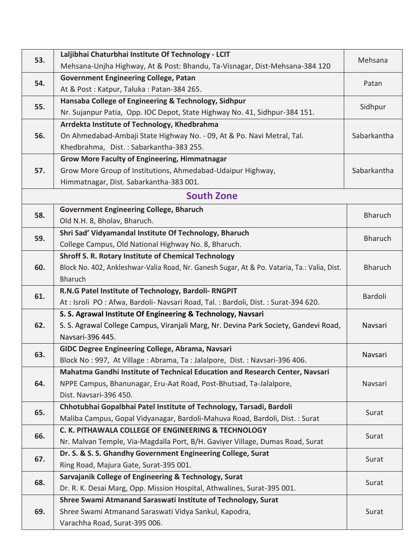| 53. | Laljibhai Chaturbhai Institute Of Technology - LCIT                                                                                           | Mehsana        |
|-----|-----------------------------------------------------------------------------------------------------------------------------------------------|----------------|
|     | Mehsana-Unjha Highway, At & Post: Bhandu, Ta-Visnagar, Dist-Mehsana-384 120                                                                   |                |
| 54. | <b>Government Engineering College, Patan</b>                                                                                                  | Patan          |
|     | At & Post: Katpur, Taluka: Patan-384 265.                                                                                                     |                |
| 55. | Hansaba College of Engineering & Technology, Sidhpur                                                                                          | Sidhpur        |
|     | Nr. Sujanpur Patia, Opp. IOC Depot, State Highway No. 41, Sidhpur-384 151.                                                                    |                |
|     | Arrdekta Institute of Technology, Khedbrahma                                                                                                  |                |
| 56. | On Ahmedabad-Ambaji State Highway No. - 09, At & Po. Navi Metral, Tal.                                                                        | Sabarkantha    |
|     | Khedbrahma, Dist.: Sabarkantha-383 255.                                                                                                       |                |
|     | <b>Grow More Faculty of Engineering, Himmatnagar</b>                                                                                          |                |
| 57. | Grow More Group of Institutions, Ahmedabad-Udaipur Highway,                                                                                   | Sabarkantha    |
|     | Himmatnagar, Dist. Sabarkantha-383 001.                                                                                                       |                |
|     | <b>South Zone</b>                                                                                                                             |                |
| 58. | <b>Government Engineering College, Bharuch</b>                                                                                                | <b>Bharuch</b> |
|     | Old N.H. 8, Bholav, Bharuch.                                                                                                                  |                |
| 59. | Shri Sad' Vidyamandal Institute Of Technology, Bharuch                                                                                        | <b>Bharuch</b> |
|     | College Campus, Old National Highway No. 8, Bharuch.                                                                                          |                |
|     | <b>Shroff S. R. Rotary Institute of Chemical Technology</b>                                                                                   |                |
| 60. | Block No. 402, Ankleshwar-Valia Road, Nr. Ganesh Sugar, At & Po. Vataria, Ta.: Valia, Dist.                                                   | <b>Bharuch</b> |
|     | <b>Bharuch</b>                                                                                                                                |                |
| 61. | R.N.G Patel Institute of Technology, Bardoli-RNGPIT                                                                                           | Bardoli        |
|     | At: Isroli PO: Afwa, Bardoli- Navsari Road, Tal.: Bardoli, Dist.: Surat-394 620.                                                              |                |
|     | S. S. Agrawal Institute Of Engineering & Technology, Navsari                                                                                  |                |
| 62. | S. S. Agrawal College Campus, Viranjali Marg, Nr. Devina Park Society, Gandevi Road,                                                          | Navsari        |
|     | Navsari-396 445.                                                                                                                              |                |
| 63. | GIDC Degree Engineering College, Abrama, Navsari                                                                                              | Navsari        |
|     | Block No: 997, At Village: Abrama, Ta: Jalalpore, Dist.: Navsari-396 406.                                                                     |                |
|     | Mahatma Gandhi Institute of Technical Education and Research Center, Navsari                                                                  |                |
| 64. | NPPE Campus, Bhanunagar, Eru-Aat Road, Post-Bhutsad, Ta-Jalalpore,                                                                            | Navsari        |
|     | Dist. Navsari-396 450.                                                                                                                        |                |
| 65. | Chhotubhai Gopalbhai Patel Institute of Technology, Tarsadi, Bardoli                                                                          | Surat          |
|     | Maliba Campus, Gopal Vidyanagar, Bardoli-Mahuva Road, Bardoli, Dist. : Surat                                                                  |                |
| 66. | C. K. PITHAWALA COLLEGE OF ENGINEERING & TECHNOLOGY                                                                                           | Surat          |
|     | Nr. Malvan Temple, Via-Magdalla Port, B/H. Gaviyer Village, Dumas Road, Surat<br>Dr. S. & S. S. Ghandhy Government Engineering College, Surat |                |
| 67. | Ring Road, Majura Gate, Surat-395 001.                                                                                                        | Surat          |
|     | Sarvajanik College of Engineering & Technology, Surat                                                                                         |                |
| 68. | Dr. R. K. Desai Marg, Opp. Mission Hospital, Athwalines, Surat-395 001.                                                                       | Surat          |
|     | Shree Swami Atmanand Saraswati Institute of Technology, Surat                                                                                 |                |
| 69. | Shree Swami Atmanand Saraswati Vidya Sankul, Kapodra,                                                                                         | Surat          |
|     | Varachha Road, Surat-395 006.                                                                                                                 |                |
|     |                                                                                                                                               |                |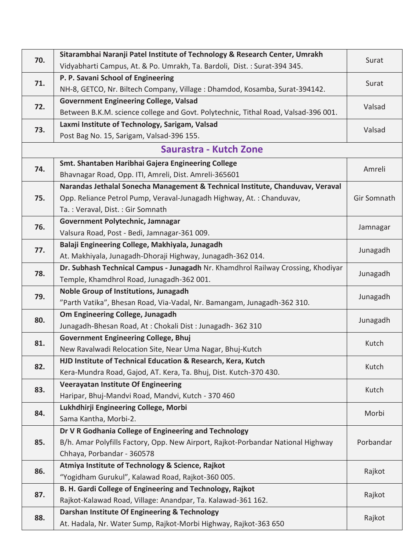| 70. | Sitarambhai Naranji Patel Institute of Technology & Research Center, Umrakh        | Surat       |
|-----|------------------------------------------------------------------------------------|-------------|
|     | Vidyabharti Campus, At. & Po. Umrakh, Ta. Bardoli, Dist.: Surat-394 345.           |             |
| 71. | P. P. Savani School of Engineering                                                 |             |
|     | NH-8, GETCO, Nr. Biltech Company, Village : Dhamdod, Kosamba, Surat-394142.        | Surat       |
| 72. | <b>Government Engineering College, Valsad</b>                                      |             |
|     | Between B.K.M. science college and Govt. Polytechnic, Tithal Road, Valsad-396 001. | Valsad      |
|     | Laxmi Institute of Technology, Sarigam, Valsad                                     |             |
| 73. | Post Bag No. 15, Sarigam, Valsad-396 155.                                          | Valsad      |
|     | Saurastra - Kutch Zone                                                             |             |
| 74. | Smt. Shantaben Haribhai Gajera Engineering College                                 | Amreli      |
|     | Bhavnagar Road, Opp. ITI, Amreli, Dist. Amreli-365601                              |             |
|     | Narandas Jethalal Sonecha Management & Technical Institute, Chanduvav, Veraval     |             |
| 75. | Opp. Reliance Petrol Pump, Veraval-Junagadh Highway, At.: Chanduvav,               | Gir Somnath |
|     | Ta.: Veraval, Dist.: Gir Somnath                                                   |             |
| 76. | Government Polytechnic, Jamnagar                                                   |             |
|     | Valsura Road, Post - Bedi, Jamnagar-361 009.                                       | Jamnagar    |
| 77. | Balaji Engineering College, Makhiyala, Junagadh                                    | Junagadh    |
|     | At. Makhiyala, Junagadh-Dhoraji Highway, Junagadh-362 014.                         |             |
|     | Dr. Subhash Technical Campus - Junagadh Nr. Khamdhrol Railway Crossing, Khodiyar   | Junagadh    |
| 78. | Temple, Khamdhrol Road, Junagadh-362 001.                                          |             |
| 79. | Noble Group of Institutions, Junagadh                                              | Junagadh    |
|     | "Parth Vatika", Bhesan Road, Via-Vadal, Nr. Bamangam, Junagadh-362 310.            |             |
| 80. | Om Engineering College, Junagadh                                                   | Junagadh    |
|     | Junagadh-Bhesan Road, At: Chokali Dist: Junagadh-362 310                           |             |
| 81. | <b>Government Engineering College, Bhuj</b>                                        | Kutch       |
|     | New Ravalwadi Relocation Site, Near Uma Nagar, Bhuj-Kutch                          |             |
| 82. | HJD Institute of Technical Education & Research, Kera, Kutch                       | Kutch       |
|     | Kera-Mundra Road, Gajod, AT. Kera, Ta. Bhuj, Dist. Kutch-370 430.                  |             |
| 83. | <b>Veerayatan Institute Of Engineering</b>                                         | Kutch       |
|     | Haripar, Bhuj-Mandvi Road, Mandvi, Kutch - 370 460                                 |             |
| 84. | Lukhdhirji Engineering College, Morbi                                              | Morbi       |
|     | Sama Kantha, Morbi-2.                                                              |             |
|     | Dr V R Godhania College of Engineering and Technology                              |             |
| 85. | B/h. Amar Polyfills Factory, Opp. New Airport, Rajkot-Porbandar National Highway   | Porbandar   |
|     | Chhaya, Porbandar - 360578                                                         |             |
| 86. | Atmiya Institute of Technology & Science, Rajkot                                   | Rajkot      |
|     | "Yogidham Gurukul", Kalawad Road, Rajkot-360 005.                                  |             |
| 87. | B. H. Gardi College of Engineering and Technology, Rajkot                          | Rajkot      |
|     | Rajkot-Kalawad Road, Village: Anandpar, Ta. Kalawad-361 162.                       |             |
| 88. | Darshan Institute Of Engineering & Technology                                      | Rajkot      |
|     | At. Hadala, Nr. Water Sump, Rajkot-Morbi Highway, Rajkot-363 650                   |             |